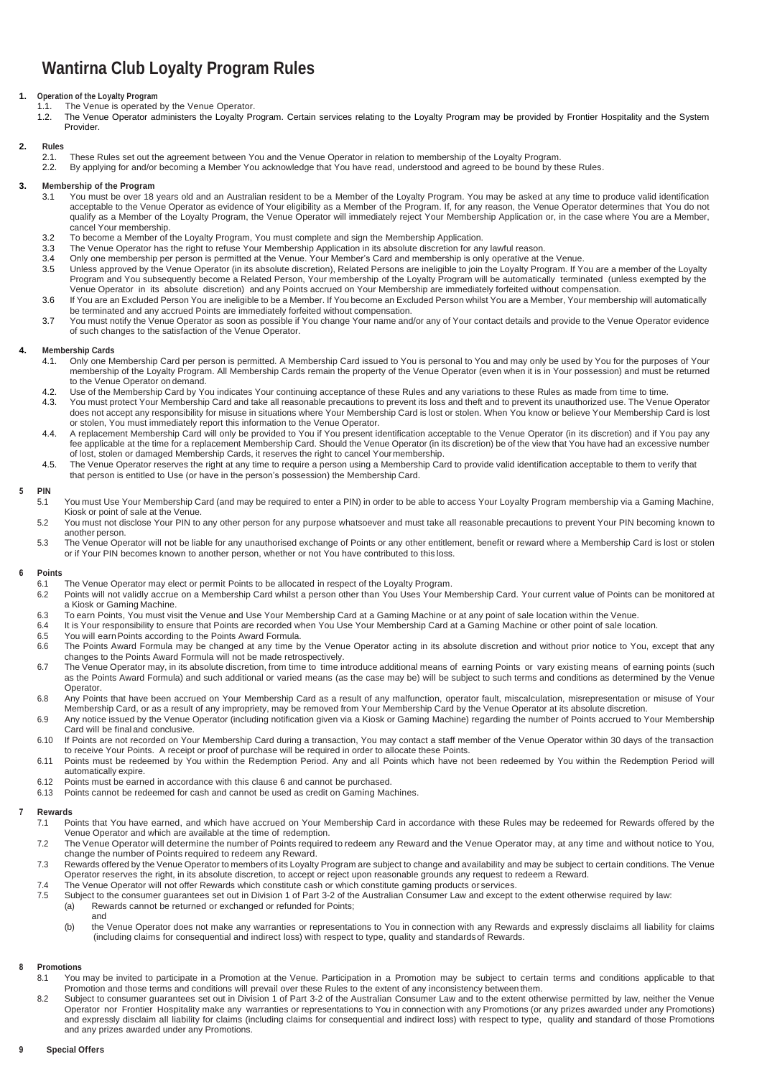# **Wantirna Club Loyalty Program Rules**

## **Operation of the Loyalty Program**<br>**1.1** The Venue is operated

- 1.1. The Venue is operated by the Venue Operator.<br>1.2. The Venue Operator administers the Lovalty Pr
- 1.2. The Venue Operator administers the Loyalty Program. Certain services relating to the Loyalty Program may be provided by Frontier Hospitality and the System Provider.

## **2. Rules**

- 2.1. These Rules set out the agreement between You and the Venue Operator in relation to membership of the Loyalty Program.
- 2.2. By applying for and/or becoming a Member You acknowledge that You have read, understood and agreed to be bound by these Rules.

### **3. Membership of the Program**

- 3.1 You must be over 18 years old and an Australian resident to be a Member of the Loyalty Program. You may be asked at any time to produce valid identification acceptable to the Venue Operator as evidence of Your eligibility as a Member of the Program. If, for any reason, the Venue Operator determines that You do not qualify as a Member of the Loyalty Program, the Venue Operator will immediately reject Your Membership Application or, in the case where You are a Member, cancel Your membership.
- 3.2 To become a Member of the Loyalty Program, You must complete and sign the Membership Application.
- 3.3 The Venue Operator has the right to refuse Your Membership Application in its absolute discretion for any lawful reason.<br>3.4 Only one membership per person is permitted at the Venue. Your Member's Card and membership i
- 3.4 Only one membership per person is permitted at the Venue. Your Member's Card and membership is only operative at the Venue.
- 3.5 Unless approved by the Venue Operator (in its absolute discretion), Related Persons are ineligible to join the Loyalty Program. If You are a member of the Loyalty Program and You subsequently become a Related Person, Your membership of the Loyalty Program will be automatically terminated (unless exempted by the Venue Operator in its absolute discretion) and any Points accrued on Your Membership are immediately forfeited without compensation.
- 3.6 If You are an Excluded Person You are ineligible to be a Member. If You become an Excluded Person whilst You are a Member, Your membership will automatically be terminated and any accrued Points are immediately forfeited without compensation.
- 3.7 You must notify the Venue Operator as soon as possible if You change Your name and/or any of Your contact details and provide to the Venue Operator evidence of such changes to the satisfaction of the Venue Operator.

#### **4. Membership Cards**

- 4.1. Only one Membership Card per person is permitted. A Membership Card issued to You is personal to You and may only be used by You for the purposes of Your membership of the Loyalty Program. All Membership Cards remain the property of the Venue Operator (even when it is in Your possession) and must be returned to the Venue Operator on demand.
- 4.2. Use of the Membership Card by You indicates Your continuing acceptance of these Rules and any variations to these Rules as made from time to time.
- 4.3. You must protect Your Membership Card and take all reasonable precautions to prevent its loss and theft and to prevent its unauthorized use. The Venue Operator does not accept any responsibility for misuse in situations where Your Membership Card is lost or stolen. When You know or believe Your Membership Card is lost or stolen, You must immediately report this information to the Venue Operator.
- 4.4. A replacement Membership Card will only be provided to You if You present identification acceptable to the Venue Operator (in its discretion) and if You pay any fee applicable at the time for a replacement Membership Card. Should the Venue Operator (in its discretion) be of the view that You have had an excessive number of lost, stolen or damaged Membership Cards, it reserves the right to cancel Yourmembership.
- 4.5. The Venue Operator reserves the right at any time to require a person using a Membership Card to provide valid identification acceptable to them to verify that that person is entitled to Use (or have in the person's possession) the Membership Card.

#### **5 PIN**

- 5.1 You must Use Your Membership Card (and may be required to enter a PIN) in order to be able to access Your Loyalty Program membership via a Gaming Machine, Kiosk or point of sale at the Venue.
- 5.2 You must not disclose Your PIN to any other person for any purpose whatsoever and must take all reasonable precautions to prevent Your PIN becoming known to another person.
- 5.3 The Venue Operator will not be liable for any unauthorised exchange of Points or any other entitlement, benefit or reward where a Membership Card is lost or stolen or if Your PIN becomes known to another person, whether or not You have contributed to this loss.

#### **6 Points**

- 6.1 The Venue Operator may elect or permit Points to be allocated in respect of the Loyalty Program.
- 6.2 Points will not validly accrue on a Membership Card whilst a person other than You Uses Your Membership Card. Your current value of Points can be monitored at a Kiosk or Gaming Machine.
- 6.3 To earn Points, You must visit the Venue and Use Your Membership Card at a Gaming Machine or at any point of sale location within the Venue.
- 6.4 It is Your responsibility to ensure that Points are recorded when You Use Your Membership Card at a Gaming Machine or other point of sale location.<br>6.5 You will earn Points according to the Points Award Formula
- 6.5 You will earn Points according to the Points Award Formula.<br>6.6 The Points Award Formula may be changed at any time b
- The Points Award Formula may be changed at any time by the Venue Operator acting in its absolute discretion and without prior notice to You, except that any changes to the Points Award Formula will not be made retrospectively.
- 6.7 The Venue Operator may, in its absolute discretion, from time to time introduce additional means of earning Points or vary existing means of earning points (such as the Points Award Formula) and such additional or varied means (as the case may be) will be subject to such terms and conditions as determined by the Venue Operator.
- 6.8 Any Points that have been accrued on Your Membership Card as a result of any malfunction, operator fault, miscalculation, misrepresentation or misuse of Your Membership Card, or as a result of any impropriety, may be removed from Your Membership Card by the Venue Operator at its absolute discretion.
- 6.9 Any notice issued by the Venue Operator (including notification given via a Kiosk or Gaming Machine) regarding the number of Points accrued to Your Membership Card will be final and conclusive.
- 6.10 If Points are not recorded on Your Membership Card during a transaction, You may contact a staff member of the Venue Operator within 30 days of the transaction to receive Your Points. A receipt or proof of purchase will be required in order to allocate these Points.
- 6.11 Points must be redeemed by You within the Redemption Period. Any and all Points which have not been redeemed by You within the Redemption Period will automatically expire.
- 6.12 Points must be earned in accordance with this clause 6 and cannot be purchased.
- 6.13 Points cannot be redeemed for cash and cannot be used as credit on Gaming Machines.

#### **7 Rewards**

- 7.1 Points that You have earned, and which have accrued on Your Membership Card in accordance with these Rules may be redeemed for Rewards offered by the Venue Operator and which are available at the time of redemption.
- 7.2 The Venue Operator will determine the number of Points required to redeem any Reward and the Venue Operator may, at any time and without notice to You, change the number of Points required to redeem any Reward.
- 7.3 Rewards offered by the Venue Operator to members of its Loyalty Program are subject to change and availability and may be subject to certain conditions. The Venue Operator reserves the right, in its absolute discretion, to accept or reject upon reasonable grounds any request to redeem a Reward.
- 7.4 The Venue Operator will not offer Rewards which constitute cash or which constitute gaming products or services.<br>7.5 Subject to the consumer quarantees set out in Division 1 of Part 3-2 of the Australian Consumer Law a 7.5 Subject to the consumer guarantees set out in Division 1 of Part 3-2 of the Australian Consumer Law and except to the extent otherwise required by law:
	- (a) Rewards cannot be returned or exchanged or refunded for Points;
		- and (b) the Venue Operator does not make any warranties or representations to You in connection with any Rewards and expressly disclaims all liability for claims (including claims for consequential and indirect loss) with respect to type, quality and standardsof Rewards.

#### **8 Promotions**

- 8.1 You may be invited to participate in a Promotion at the Venue. Participation in a Promotion may be subject to certain terms and conditions applicable to that Promotion and those terms and conditions will prevail over these Rules to the extent of any inconsistency between them.
- 8.2 Subiect to consumer guarantees set out in Division 1 of Part 3-2 of the Australian Consumer Law and to the extent otherwise permitted by law, neither the Venue Operator nor Frontier Hospitality make any warranties or representations to You in connection with any Promotions (or any prizes awarded under any Promotions) and expressly disclaim all liability for claims (including claims for consequential and indirect loss) with respect to type, quality and standard of those Promotions and any prizes awarded under any Promotions.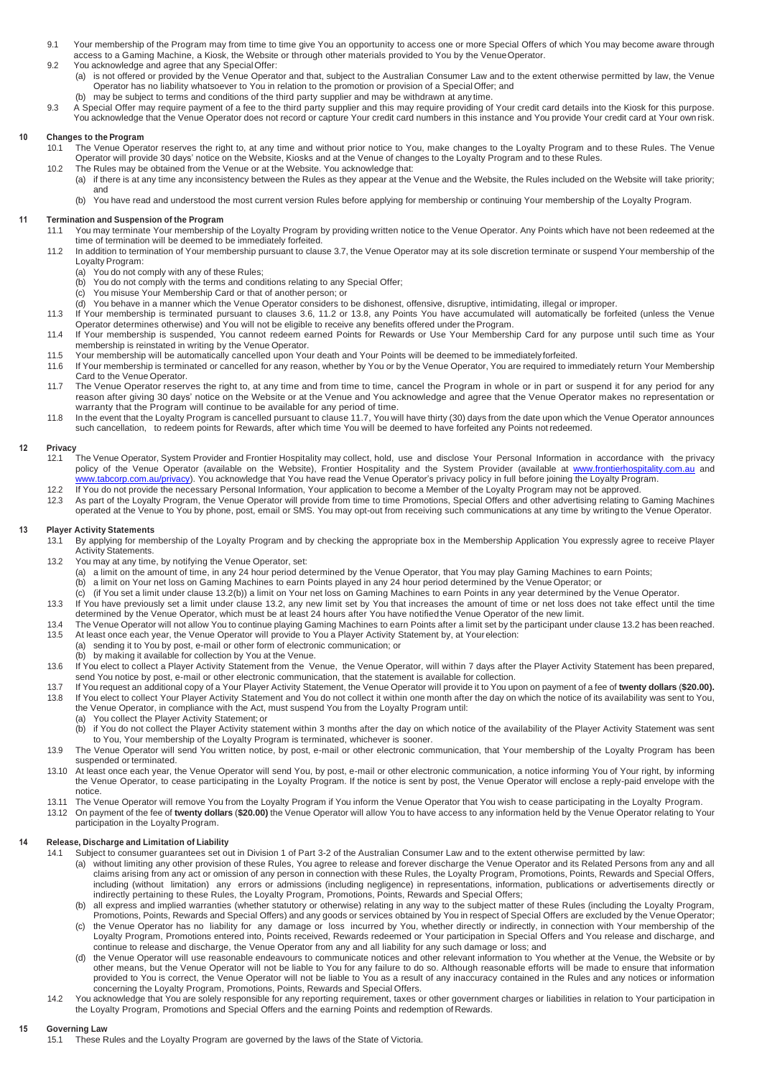- 9.1 Your membership of the Program may from time to time give You an opportunity to access one or more Special Offers of which You may become aware through access to a Gaming Machine, a Kiosk, the Website or through other materials provided to You by the Venue Operator. 9.2 You acknowledge and agree that any SpecialOffer:
	- (a) is not offered or provided by the Venue Operator and that, subject to the Australian Consumer Law and to the extent otherwise permitted by law, the Venue Operator has no liability whatsoever to You in relation to the promotion or provision of a Special Offer; and
- may be subject to terms and conditions of the third party supplier and may be withdrawn at any time. 9.3 A Special Offer may require payment of a fee to the third party supplier and this may require providing of Your credit card details into the Kiosk for this purpose. You acknowledge that the Venue Operator does not record or capture Your credit card numbers in this instance and You provide Your credit card at Your own risk.

#### **10 Changes to the Program**

- 10.1 The Venue Operator reserves the right to, at any time and without prior notice to You, make changes to the Loyalty Program and to these Rules. The Venue Operator will provide 30 days' notice on the Website, Kiosks and at the Venue of changes to the Loyalty Program and to these Rules.
- 10.2 The Rules may be obtained from the Venue or at the Website. You acknowledge that:
	- (a) if there is at any time any inconsistency between the Rules as they appear at the Venue and the Website, the Rules included on the Website will take priority; and
	- (b) You have read and understood the most current version Rules before applying for membership or continuing Your membership of the Loyalty Program.

#### **11 Termination and Suspension of the Program**

- 11.1 You may terminate Your membership of the Loyalty Program by providing written notice to the Venue Operator. Any Points which have not been redeemed at the time of termination will be deemed to be immediately forfeited.
- 11.2 In addition to termination of Your membership pursuant to clause 3.7, the Venue Operator may at its sole discretion terminate or suspend Your membership of the Loyalty Program:
	- (a) You do not comply with any of these Rules;
	- (b) You do not comply with the terms and conditions relating to any Special Offer;
	- (c) You misuse Your Membership Card or that of another person; or
	- (d) You behave in a manner which the Venue Operator considers to be dishonest, offensive, disruptive, intimidating, illegal or improper.
- 11.3 If Your membership is terminated pursuant to clauses 3.6, 11.2 or 13.8, any Points You have accumulated will automatically be forfeited (unless the Venue Operator determines otherwise) and You will not be eligible to receive any benefits offered under theProgram.
- 11.4 If Your membership is suspended, You cannot redeem earned Points for Rewards or Use Your Membership Card for any purpose until such time as Your membership is reinstated in writing by the Venue Operator.
- 11.5 Your membership will be automatically cancelled upon Your death and Your Points will be deemed to be immediately forfeited.<br>11.6 If Your membership is terminated or cancelled for any reason, whether by You or by the V If Your membership is terminated or cancelled for any reason, whether by You or by the Venue Operator, You are required to immediately return Your Membership Card to the Venue Operator.
- 11.7 The Venue Operator reserves the right to, at any time and from time to time, cancel the Program in whole or in part or suspend it for any period for any reason after giving 30 days' notice on the Website or at the Venue and You acknowledge and agree that the Venue Operator makes no representation or warranty that the Program will continue to be available for any period of time.
- 11.8 In the event that the Loyalty Program is cancelled pursuant to clause 11.7, You will have thirty (30) days from the date upon which the Venue Operator announces such cancellation, to redeem points for Rewards, after which time You will be deemed to have forfeited any Points not redeemed.

## **12 Privacy**

- 12.1 The Venue Operator, System Provider and Frontier Hospitality may collect, hold, use and disclose Your Personal Information in accordance with the privacy policy of the Venue Operator (available on the Website), Frontier Hospitality and the System Provider (available at [www.frontierhospitality.com.au](http://www.frontierhospitality.com.au/) and ww.tabcorp.com.au/privacy). You acknowledge that You have read the Venue Operator's privacy policy in full before joining the Loyalty Program. 12.2 If You do not provide the necessary Personal Information, Your application to become a Member of the Loyalty Program may not be approved.
- 12.3 As part of the Loyalty Program, the Venue Operator will provide from time to time Promotions, Special Offers and other advertising relating to Gaming Machines operated at the Venue to You by phone, post, email or SMS. You may opt-out from receiving such communications at any time by writingto the Venue Operator.

#### **13 Player Activity Statements**

- 13.1 By applying for membership of the Loyalty Program and by checking the appropriate box in the Membership Application You expressly agree to receive Player Activity Statements.
- 13.2 You may at any time, by notifying the Venue Operator, set:
	- (a) a limit on the amount of time, in any 24 hour period determined by the Venue Operator, that You may play Gaming Machines to earn Points;
	- (b) a limit on Your net loss on Gaming Machines to earn Points played in any 24 hour period determined by the Venue Operator; or
	- (c) (if You set a limit under clause 13.2(b)) a limit on Your net loss on Gaming Machines to earn Points in any year determined by the Venue Operator.
- 13.3 If You have previously set a limit under clause 13.2, any new limit set by You that increases the amount of time or net loss does not take effect until the time determined by the Venue Operator, which must be at least 24 hours after You have notifiedthe Venue Operator of the new limit.
- 13.4 The Venue Operator will not allow You to continue playing Gaming Machines to earn Points after a limit set by the participant under clause 13.2 has been reached.<br>13.5 At least once each vear, the Venue Operator will p At least once each year, the Venue Operator will provide to You a Player Activity Statement by, at Yourelection:
	- (a) sending it to You by post, e-mail or other form of electronic communication; or by making it available for collection by You at the Venue.
- 13.6 If You elect to collect a Player Activity Statement from the Venue, the Venue Operator, will within 7 days after the Player Activity Statement has been prepared, send You notice by post, e-mail or other electronic communication, that the statement is available for collection.
- 13.7 If You request an additional copy of a Your Player Activity Statement, the Venue Operator will provide it to You upon on payment of a fee of **twenty dollars** (**\$20.00).** 13.8 If You elect to collect Your Player Activity Statement and You do not collect it within one month after the day on which the notice of its availability was sent to You, the Venue Operator, in compliance with the Act, must suspend You from the Loyalty Program until:
	- (a) You collect the Player Activity Statement; or
	- (b) if You do not collect the Player Activity statement within 3 months after the day on which notice of the availability of the Player Activity Statement was sent to You, Your membership of the Loyalty Program is terminated, whichever is sooner.
- 13.9 The Venue Operator will send You written notice, by post, e-mail or other electronic communication, that Your membership of the Loyalty Program has been suspended or terminated.
- 13.10 At least once each year, the Venue Operator will send You, by post, e-mail or other electronic communication, a notice informing You of Your right, by informing the Venue Operator, to cease participating in the Loyalty Program. If the notice is sent by post, the Venue Operator will enclose a reply-paid envelope with the notice.
- 13.11 The Venue Operator will remove You from the Loyalty Program if You inform the Venue Operator that You wish to cease participating in the Loyalty Program.
- 13.12 On payment of the fee of **twenty dollars** (**\$20.00)** the Venue Operator will allow You to have access to any information held by the Venue Operator relating to Your payment of the Loyalty Program.

#### **14 Release, Discharge and Limitation of Liability**

- 14.1 Subject to consumer guarantees set out in Division 1 of Part 3-2 of the Australian Consumer Law and to the extent otherwise permitted by law:
	- (a) without limiting any other provision of these Rules, You agree to release and forever discharge the Venue Operator and its Related Persons from any and all claims arising from any act or omission of any person in connection with these Rules, the Loyalty Program, Promotions, Points, Rewards and Special Offers, including (without limitation) any errors or admissions (including negligence) in representations, information, publications or advertisements directly or indirectly pertaining to these Rules, the Loyalty Program, Promotions, Points, Rewards and Special Offers;
	- (b) all express and implied warranties (whether statutory or otherwise) relating in any way to the subject matter of these Rules (including the Loyalty Program, Promotions, Points, Rewards and Special Offers) and any goods or services obtained by You in respect of Special Offers are excluded by the Venue Operator;
	- (c) the Venue Operator has no liability for any damage or loss incurred by You, whether directly or indirectly, in connection with Your membership of the Loyalty Program, Promotions entered into, Points received, Rewards redeemed or Your participation in Special Offers and You release and discharge, and continue to release and discharge, the Venue Operator from any and all liability for any such damage or loss; and
	- the Venue Operator will use reasonable endeavours to communicate notices and other relevant information to You whether at the Venue, the Website or by other means, but the Venue Operator will not be liable to You for any failure to do so. Although reasonable efforts will be made to ensure that information provided to You is correct, the Venue Operator will not be liable to You as a result of any inaccuracy contained in the Rules and any notices or information concerning the Loyalty Program, Promotions, Points, Rewards and Special Offers.
- 14.2 You acknowledge that You are solely responsible for any reporting requirement, taxes or other government charges or liabilities in relation to Your participation in the Loyalty Program, Promotions and Special Offers and the earning Points and redemption of Rewards.

#### **15 Governing Law**

15.1 These Rules and the Loyalty Program are governed by the laws of the State of Victoria.